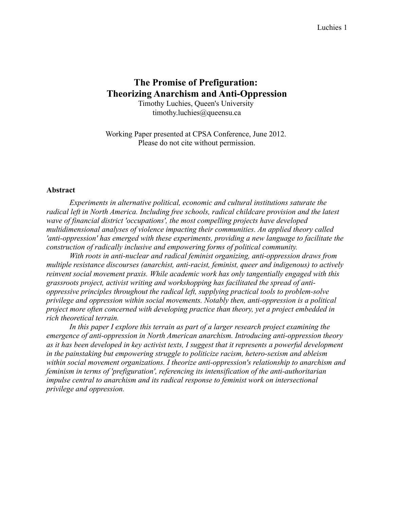# **The Promise of Prefiguration: Theorizing Anarchism and Anti-Oppression**

Timothy Luchies, Queen's University timothy.luchies@queensu.ca

Working Paper presented at CPSA Conference, June 2012. Please do not cite without permission.

#### **Abstract**

*Experiments in alternative political, economic and cultural institutions saturate the radical left in North America. Including free schools, radical childcare provision and the latest wave of financial district 'occupations', the most compelling projects have developed multidimensional analyses of violence impacting their communities. An applied theory called 'anti-oppression' has emerged with these experiments, providing a new language to facilitate the construction of radically inclusive and empowering forms of political community.*

*With roots in anti-nuclear and radical feminist organizing, anti-oppression draws from multiple resistance discourses (anarchist, anti-racist, feminist, queer and indigenous) to actively reinvent social movement praxis. While academic work has only tangentially engaged with this grassroots project, activist writing and workshopping has facilitated the spread of antioppressive principles throughout the radical left, supplying practical tools to problem-solve privilege and oppression within social movements. Notably then, anti-oppression is a political project more often concerned with developing practice than theory, yet a project embedded in rich theoretical terrain.*

*In this paper I explore this terrain as part of a larger research project examining the emergence of anti-oppression in North American anarchism. Introducing anti-oppression theory as it has been developed in key activist texts, I suggest that it represents a powerful development in the painstaking but empowering struggle to politicize racism, hetero-sexism and ableism within social movement organizations. I theorize anti-oppression's relationship to anarchism and feminism in terms of 'prefiguration', referencing its intensification of the anti-authoritarian impulse central to anarchism and its radical response to feminist work on intersectional privilege and oppression.*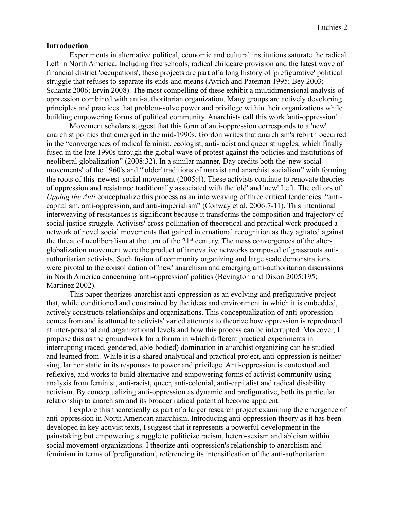#### **Introduction**

Experiments in alternative political, economic and cultural institutions saturate the radical Left in North America. Including free schools, radical childcare provision and the latest wave of financial district 'occupations', these projects are part of a long history of 'prefigurative' political struggle that refuses to separate its ends and means (Avrich and Pateman 1995; Bey 2003; Schantz 2006; Ervin 2008). The most compelling of these exhibit a multidimensional analysis of oppression combined with anti-authoritarian organization. Many groups are actively developing principles and practices that problem-solve power and privilege within their organizations while building empowering forms of political community. Anarchists call this work 'anti-oppression'.

Movement scholars suggest that this form of anti-oppression corresponds to a 'new' anarchist politics that emerged in the mid-1990s. Gordon writes that anarchism's rebirth occurred in the "convergences of radical feminist, ecologist, anti-racist and queer struggles, which finally fused in the late 1990s through the global wave of protest against the policies and institutions of neoliberal globalization" (2008:32). In a similar manner, Day credits both the 'new social movements' of the 1960's and "'older' traditions of marxist and anarchist socialism" with forming the roots of this 'newest' social movement (2005:4). These activists continue to renovate theories of oppression and resistance traditionally associated with the 'old' and 'new' Left. The editors of *Upping the Anti* conceptualize this process as an interweaving of three critical tendencies: "anticapitalism, anti-oppression, and anti-imperialism" (Conway et al. 2006:7-11). This intentional interweaving of resistances is significant because it transforms the composition and trajectory of social justice struggle. Activists' cross-pollination of theoretical and practical work produced a network of novel social movements that gained international recognition as they agitated against the threat of neoliberalism at the turn of the 21<sup>st</sup> century. The mass convergences of the alterglobalization movement were the product of innovative networks composed of grassroots antiauthoritarian activists. Such fusion of community organizing and large scale demonstrations were pivotal to the consolidation of 'new' anarchism and emerging anti-authoritarian discussions in North America concerning 'anti-oppression' politics (Bevington and Dixon 2005:195; Martinez 2002).

This paper theorizes anarchist anti-oppression as an evolving and prefigurative project that, while conditioned and constrained by the ideas and environment in which it is embedded, actively constructs relationships and organizations. This conceptualization of anti-oppression comes from and is attuned to activists' varied attempts to theorize how oppression is reproduced at inter-personal and organizational levels and how this process can be interrupted. Moreover, I propose this as the groundwork for a forum in which different practical experiments in interrupting (raced, gendered, able-bodied) domination in anarchist organizing can be studied and learned from. While it is a shared analytical and practical project, anti-oppression is neither singular nor static in its responses to power and privilege. Anti-oppression is contextual and reflexive, and works to build alternative and empowering forms of activist community using analysis from feminist, anti-racist, queer, anti-colonial, anti-capitalist and radical disability activism. By conceptualizing anti-oppression as dynamic and prefigurative, both its particular relationship to anarchism and its broader radical potential become apparent.

I explore this theoretically as part of a larger research project examining the emergence of anti-oppression in North American anarchism. Introducing anti-oppression theory as it has been developed in key activist texts, I suggest that it represents a powerful development in the painstaking but empowering struggle to politicize racism, hetero-sexism and ableism within social movement organizations. I theorize anti-oppression's relationship to anarchism and feminism in terms of 'prefiguration', referencing its intensification of the anti-authoritarian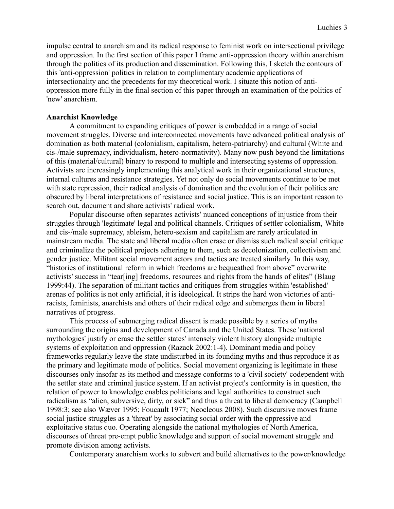impulse central to anarchism and its radical response to feminist work on intersectional privilege and oppression. In the first section of this paper I frame anti-oppression theory within anarchism through the politics of its production and dissemination. Following this, I sketch the contours of this 'anti-oppression' politics in relation to complimentary academic applications of intersectionality and the precedents for my theoretical work. I situate this notion of antioppression more fully in the final section of this paper through an examination of the politics of 'new' anarchism.

### **Anarchist Knowledge**

A commitment to expanding critiques of power is embedded in a range of social movement struggles. Diverse and interconnected movements have advanced political analysis of domination as both material (colonialism, capitalism, hetero-patriarchy) and cultural (White and cis-/male supremacy, individualism, hetero-normativity). Many now push beyond the limitations of this (material/cultural) binary to respond to multiple and intersecting systems of oppression. Activists are increasingly implementing this analytical work in their organizational structures, internal cultures and resistance strategies. Yet not only do social movements continue to be met with state repression, their radical analysis of domination and the evolution of their politics are obscured by liberal interpretations of resistance and social justice. This is an important reason to search out, document and share activists' radical work.

Popular discourse often separates activists' nuanced conceptions of injustice from their struggles through 'legitimate' legal and political channels. Critiques of settler colonialism, White and cis-/male supremacy, ableism, hetero-sexism and capitalism are rarely articulated in mainstream media. The state and liberal media often erase or dismiss such radical social critique and criminalize the political projects adhering to them, such as decolonization, collectivism and gender justice. Militant social movement actors and tactics are treated similarly. In this way, "histories of institutional reform in which freedoms are bequeathed from above" overwrite activists' success in "tear[ing] freedoms, resources and rights from the hands of elites" (Blaug 1999:44). The separation of militant tactics and critiques from struggles within 'established' arenas of politics is not only artificial, it is ideological. It strips the hard won victories of antiracists, feminists, anarchists and others of their radical edge and submerges them in liberal narratives of progress.

This process of submerging radical dissent is made possible by a series of myths surrounding the origins and development of Canada and the United States. These 'national mythologies' justify or erase the settler states' intensely violent history alongside multiple systems of exploitation and oppression (Razack 2002:1-4). Dominant media and policy frameworks regularly leave the state undisturbed in its founding myths and thus reproduce it as the primary and legitimate mode of politics. Social movement organizing is legitimate in these discourses only insofar as its method and message conforms to a 'civil society' codependent with the settler state and criminal justice system. If an activist project's conformity is in question, the relation of power to knowledge enables politicians and legal authorities to construct such radicalism as "alien, subversive, dirty, or sick" and thus a threat to liberal democracy (Campbell 1998:3; see also Wæver 1995; Foucault 1977; Neocleous 2008). Such discursive moves frame social justice struggles as a 'threat' by associating social order with the oppressive and exploitative status quo. Operating alongside the national mythologies of North America, discourses of threat pre-empt public knowledge and support of social movement struggle and promote division among activists.

Contemporary anarchism works to subvert and build alternatives to the power/knowledge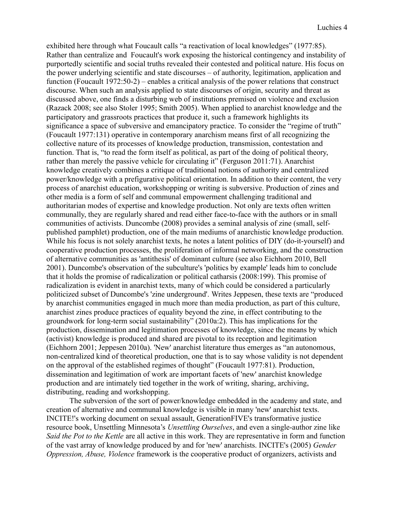exhibited here through what Foucault calls "a reactivation of local knowledges" (1977:85). Rather than centralize and Foucault's work exposing the historical contingency and instability of purportedly scientific and social truths revealed their contested and political nature. His focus on the power underlying scientific and state discourses – of authority, legitimation, application and function (Foucault 1972:50-2) – enables a critical analysis of the power relations that construct discourse. When such an analysis applied to state discourses of origin, security and threat as discussed above, one finds a disturbing web of institutions premised on violence and exclusion (Razack 2008; see also Stoler 1995; Smith 2005). When applied to anarchist knowledge and the participatory and grassroots practices that produce it, such a framework highlights its significance a space of subversive and emancipatory practice. To consider the "regime of truth" (Foucault 1977:131) operative in contemporary anarchism means first of all recognizing the collective nature of its processes of knowledge production, transmission, contestation and function. That is, "to read the form itself as political, as part of the doing of political theory, rather than merely the passive vehicle for circulating it" (Ferguson 2011:71). Anarchist knowledge creatively combines a critique of traditional notions of authority and centralized power/knowledge with a prefigurative political orientation. In addition to their content, the very process of anarchist education, workshopping or writing is subversive. Production of zines and other media is a form of self and communal empowerment challenging traditional and authoritarian modes of expertise and knowledge production. Not only are texts often written communally, they are regularly shared and read either face-to-face with the authors or in small communities of activists. Duncombe (2008) provides a seminal analysis of zine (small, selfpublished pamphlet) production, one of the main mediums of anarchistic knowledge production. While his focus is not solely anarchist texts, he notes a latent politics of DIY (do-it-yourself) and cooperative production processes, the proliferation of informal networking, and the construction of alternative communities as 'antithesis' of dominant culture (see also Eichhorn 2010, Bell 2001). Duncombe's observation of the subculture's 'politics by example' leads him to conclude that it holds the promise of radicalization or political catharsis (2008:199). This promise of radicalization is evident in anarchist texts, many of which could be considered a particularly politicized subset of Duncombe's 'zine underground'. Writes Jeppesen, these texts are "produced by anarchist communities engaged in much more than media production, as part of this culture, anarchist zines produce practices of equality beyond the zine, in effect contributing to the groundwork for long-term social sustainability" (2010a:2). This has implications for the production, dissemination and legitimation processes of knowledge, since the means by which (activist) knowledge is produced and shared are pivotal to its reception and legitimation (Eichhorn 2001; Jeppesen 2010a). 'New' anarchist literature thus emerges as "an autonomous, non-centralized kind of theoretical production, one that is to say whose validity is not dependent on the approval of the established regimes of thought" (Foucault 1977:81). Production, dissemination and legitimation of work are important facets of 'new' anarchist knowledge production and are intimately tied together in the work of writing, sharing, archiving, distributing, reading and workshopping.

The subversion of the sort of power/knowledge embedded in the academy and state, and creation of alternative and communal knowledge is visible in many 'new' anarchist texts. INCITE!'s working document on sexual assault, GenerationFIVE's transformative justice resource book, Unsettling Minnesota's *Unsettling Ourselves*, and even a single-author zine like *Said the Pot to the Kettle* are all active in this work. They are representative in form and function of the vast array of knowledge produced by and for 'new' anarchists. INCITE's (2005) *Gender Oppression, Abuse, Violence* framework is the cooperative product of organizers, activists and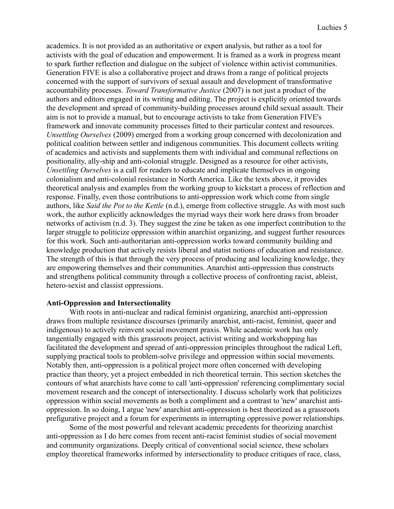academics. It is not provided as an authoritative or expert analysis, but rather as a tool for activists with the goal of education and empowerment. It is framed as a work in progress meant to spark further reflection and dialogue on the subject of violence within activist communities. Generation FIVE is also a collaborative project and draws from a range of political projects concerned with the support of survivors of sexual assault and development of transformative accountability processes. *Toward Transformative Justice* (2007) is not just a product of the authors and editors engaged in its writing and editing. The project is explicitly oriented towards the development and spread of community-building processes around child sexual assault. Their aim is not to provide a manual, but to encourage activists to take from Generation FIVE's framework and innovate community processes fitted to their particular context and resources. *Unsettling Ourselves* (2009) emerged from a working group concerned with decolonization and political coalition between settler and indigenous communities. This document collects writing of academics and activists and supplements them with individual and communal reflections on positionality, ally-ship and anti-colonial struggle. Designed as a resource for other activists, *Unsettling Ourselves* is a call for readers to educate and implicate themselves in ongoing colonialism and anti-colonial resistance in North America. Like the texts above, it provides theoretical analysis and examples from the working group to kickstart a process of reflection and response. Finally, even those contributions to anti-oppression work which come from single authors, like *Said the Pot to the Kettle* (n.d.), emerge from collective struggle. As with most such work, the author explicitly acknowledges the myriad ways their work here draws from broader networks of activism (n.d. 3). They suggest the zine be taken as one imperfect contribution to the larger struggle to politicize oppression within anarchist organizing, and suggest further resources for this work. Such anti-authoritarian anti-oppression works toward community building and knowledge production that actively resists liberal and statist notions of education and resistance. The strength of this is that through the very process of producing and localizing knowledge, they are empowering themselves and their communities. Anarchist anti-oppression thus constructs and strengthens political community through a collective process of confronting racist, ableist, hetero-sexist and classist oppressions.

## **Anti-Oppression and Intersectionality**

With roots in anti-nuclear and radical feminist organizing, anarchist anti-oppression draws from multiple resistance discourses (primarily anarchist, anti-racist, feminist, queer and indigenous) to actively reinvent social movement praxis. While academic work has only tangentially engaged with this grassroots project, activist writing and workshopping has facilitated the development and spread of anti-oppression principles throughout the radical Left, supplying practical tools to problem-solve privilege and oppression within social movements. Notably then, anti-oppression is a political project more often concerned with developing practice than theory, yet a project embedded in rich theoretical terrain. This section sketches the contours of what anarchists have come to call 'anti-oppression' referencing complimentary social movement research and the concept of intersectionality. I discuss scholarly work that politicizes oppression within social movements as both a compliment and a contrast to 'new' anarchist antioppression. In so doing, I argue 'new' anarchist anti-oppression is best theorized as a grassroots prefigurative project and a forum for experiments in interrupting oppressive power relationships.

Some of the most powerful and relevant academic precedents for theorizing anarchist anti-oppression as I do here comes from recent anti-racist feminist studies of social movement and community organizations. Deeply critical of conventional social science, these scholars employ theoretical frameworks informed by intersectionality to produce critiques of race, class,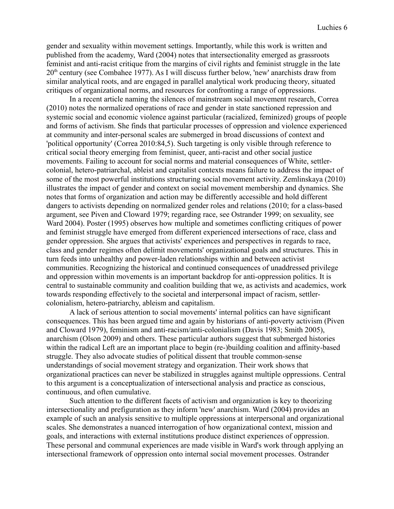gender and sexuality within movement settings. Importantly, while this work is written and published from the academy, Ward (2004) notes that intersectionality emerged as grassroots feminist and anti-racist critique from the margins of civil rights and feminist struggle in the late 20<sup>th</sup> century (see Combahee 1977). As I will discuss further below, 'new' anarchists draw from similar analytical roots, and are engaged in parallel analytical work producing theory, situated critiques of organizational norms, and resources for confronting a range of oppressions.

In a recent article naming the silences of mainstream social movement research, Correa (2010) notes the normalized operations of race and gender in state sanctioned repression and systemic social and economic violence against particular (racialized, feminized) groups of people and forms of activism. She finds that particular processes of oppression and violence experienced at community and inter-personal scales are submerged in broad discussions of context and 'political opportunity' (Correa 2010:84,5). Such targeting is only visible through reference to critical social theory emerging from feminist, queer, anti-racist and other social justice movements. Failing to account for social norms and material consequences of White, settlercolonial, hetero-patriarchal, ableist and capitalist contexts means failure to address the impact of some of the most powerful institutions structuring social movement activity. Zemlinskaya (2010) illustrates the impact of gender and context on social movement membership and dynamics. She notes that forms of organization and action may be differently accessible and hold different dangers to activists depending on normalized gender roles and relations (2010; for a class-based argument, see Piven and Cloward 1979; regarding race, see Ostrander 1999; on sexuality, see Ward 2004). Poster (1995) observes how multiple and sometimes conflicting critiques of power and feminist struggle have emerged from different experienced intersections of race, class and gender oppression. She argues that activists' experiences and perspectives in regards to race, class and gender regimes often delimit movements' organizational goals and structures. This in turn feeds into unhealthy and power-laden relationships within and between activist communities. Recognizing the historical and continued consequences of unaddressed privilege and oppression within movements is an important backdrop for anti-oppression politics. It is central to sustainable community and coalition building that we, as activists and academics, work towards responding effectively to the societal and interpersonal impact of racism, settlercolonialism, hetero-patriarchy, ableism and capitalism.

A lack of serious attention to social movements' internal politics can have significant consequences. This has been argued time and again by historians of anti-poverty activism (Piven and Cloward 1979), feminism and anti-racism/anti-colonialism (Davis 1983; Smith 2005), anarchism (Olson 2009) and others. These particular authors suggest that submerged histories within the radical Left are an important place to begin (re-)building coalition and affinity-based struggle. They also advocate studies of political dissent that trouble common-sense understandings of social movement strategy and organization. Their work shows that organizational practices can never be stabilized in struggles against multiple oppressions. Central to this argument is a conceptualization of intersectional analysis and practice as conscious, continuous, and often cumulative.

Such attention to the different facets of activism and organization is key to theorizing intersectionality and prefiguration as they inform 'new' anarchism. Ward (2004) provides an example of such an analysis sensitive to multiple oppressions at interpersonal and organizational scales. She demonstrates a nuanced interrogation of how organizational context, mission and goals, and interactions with external institutions produce distinct experiences of oppression. These personal and communal experiences are made visible in Ward's work through applying an intersectional framework of oppression onto internal social movement processes. Ostrander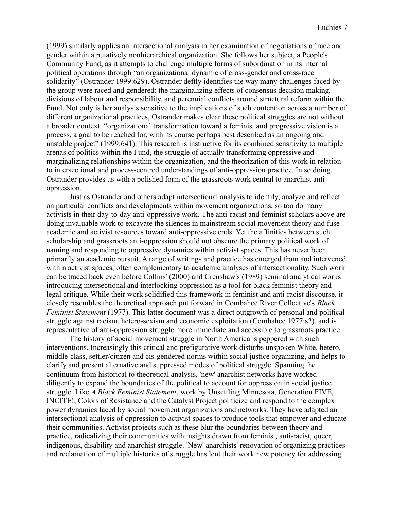(1999) similarly applies an intersectional analysis in her examination of negotiations of race and gender within a putatively nonhierarchical organization. She follows her subject, a People's Community Fund, as it attempts to challenge multiple forms of subordination in its internal political operations through "an organizational dynamic of cross-gender and cross-race solidarity" (Ostrander 1999:629). Ostrander deftly identifies the way many challenges faced by the group were raced and gendered: the marginalizing effects of consensus decision making, divisions of labour and responsibility, and perennial conflicts around structural reform within the Fund. Not only is her analysis sensitive to the implications of such contention across a number of different organizational practices, Ostrander makes clear these political struggles are not without a broader context: "organizational transformation toward a feminist and progressive vision is a process, a goal to be reached for, with its course perhaps best described as an ongoing and unstable project" (1999:641). This research is instructive for its combined sensitivity to multiple arenas of politics within the Fund, the struggle of actually transforming oppressive and marginalizing relationships within the organization, and the theorization of this work in relation to intersectional and process-centred understandings of anti-oppression practice. In so doing, Ostrander provides us with a polished form of the grassroots work central to anarchist antioppression.

Just as Ostrander and others adapt intersectional analysis to identify, analyze and reflect on particular conflicts and developments within movement organizations, so too do many activists in their day-to-day anti-oppressive work. The anti-racist and feminist scholars above are doing invaluable work to excavate the silences in mainstream social movement theory and fuse academic and activist resources toward anti-oppressive ends. Yet the affinities between such scholarship and grassroots anti-oppression should not obscure the primary political work of naming and responding to oppressive dynamics within activist spaces. This has never been primarily an academic pursuit. A range of writings and practice has emerged from and intervened within activist spaces, often complementary to academic analyses of intersectionality. Such work can be traced back even before Collins' (2000) and Crenshaw's (1989) seminal analytical works introducing intersectional and interlocking oppression as a tool for black feminist theory and legal critique. While their work solidified this framework in feminist and anti-racist discourse, it closely resembles the theoretical approach put forward in Combahee River Collective's *Black Feminist Statement* (1977). This latter document was a direct outgrowth of personal and political struggle against racism, hetero-sexism and economic exploitation (Combahee 1977:s2), and is representative of anti-oppression struggle more immediate and accessible to grassroots practice.

The history of social movement struggle in North America is peppered with such interventions. Increasingly this critical and prefigurative work disturbs unspoken White, hetero, middle-class, settler/citizen and cis-gendered norms within social justice organizing, and helps to clarify and present alternative and suppressed modes of political struggle. Spanning the continuum from historical to theoretical analysis, 'new' anarchist networks have worked diligently to expand the boundaries of the political to account for oppression in social justice struggle. Like *A Black Feminist Statement*, work by Unsettling Minnesota, Generation FIVE, INCITE!, Colors of Resistance and the Catalyst Project politicize and respond to the complex power dynamics faced by social movement organizations and networks. They have adapted an intersectional analysis of oppression to activist spaces to produce tools that empower and educate their communities. Activist projects such as these blur the boundaries between theory and practice, radicalizing their communities with insights drawn from feminist, anti-racist, queer, indigenous, disability and anarchist struggle. 'New' anarchists' renovation of organizing practices and reclamation of multiple histories of struggle has lent their work new potency for addressing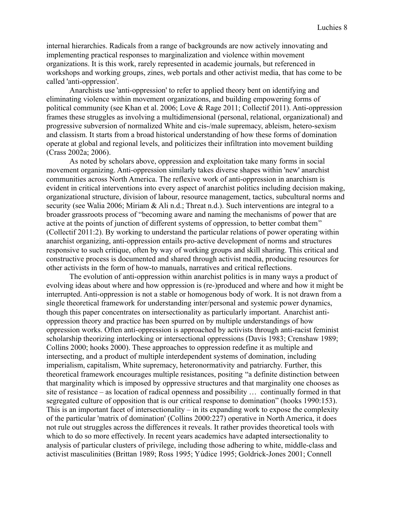internal hierarchies. Radicals from a range of backgrounds are now actively innovating and implementing practical responses to marginalization and violence within movement organizations. It is this work, rarely represented in academic journals, but referenced in workshops and working groups, zines, web portals and other activist media, that has come to be called 'anti-oppression'.

Anarchists use 'anti-oppression' to refer to applied theory bent on identifying and eliminating violence within movement organizations, and building empowering forms of political community (see Khan et al. 2006; Love & Rage 2011; Collectif 2011). Anti-oppression frames these struggles as involving a multidimensional (personal, relational, organizational) and progressive subversion of normalized White and cis-/male supremacy, ableism, hetero-sexism and classism. It starts from a broad historical understanding of how these forms of domination operate at global and regional levels, and politicizes their infiltration into movement building (Crass 2002a; 2006).

As noted by scholars above, oppression and exploitation take many forms in social movement organizing. Anti-oppression similarly takes diverse shapes within 'new' anarchist communities across North America. The reflexive work of anti-oppression in anarchism is evident in critical interventions into every aspect of anarchist politics including decision making, organizational structure, division of labour, resource management, tactics, subcultural norms and security (see Walia 2006; Miriam & Ali n.d.; Threat n.d.). Such interventions are integral to a broader grassroots process of "becoming aware and naming the mechanisms of power that are active at the points of junction of different systems of oppression, to better combat them" (Collectif 2011:2). By working to understand the particular relations of power operating within anarchist organizing, anti-oppression entails pro-active development of norms and structures responsive to such critique, often by way of working groups and skill sharing. This critical and constructive process is documented and shared through activist media, producing resources for other activists in the form of how-to manuals, narratives and critical reflections.

The evolution of anti-oppression within anarchist politics is in many ways a product of evolving ideas about where and how oppression is (re-)produced and where and how it might be interrupted. Anti-oppression is not a stable or homogenous body of work. It is not drawn from a single theoretical framework for understanding inter/personal and systemic power dynamics, though this paper concentrates on intersectionality as particularly important. Anarchist antioppression theory and practice has been spurred on by multiple understandings of how oppression works. Often anti-oppression is approached by activists through anti-racist feminist scholarship theorizing interlocking or intersectional oppressions (Davis 1983; Crenshaw 1989; Collins 2000; hooks 2000). These approaches to oppression redefine it as multiple and intersecting, and a product of multiple interdependent systems of domination, including imperialism, capitalism, White supremacy, heteronormativity and patriarchy. Further, this theoretical framework encourages multiple resistances, positing "a definite distinction between that marginality which is imposed by oppressive structures and that marginality one chooses as site of resistance – as location of radical openness and possibility … continually formed in that segregated culture of opposition that is our critical response to domination" (hooks 1990:153). This is an important facet of intersectionality – in its expanding work to expose the complexity of the particular 'matrix of domination' (Collins 2000:227) operative in North America, it does not rule out struggles across the differences it reveals. It rather provides theoretical tools with which to do so more effectively. In recent years academics have adapted intersectionality to analysis of particular clusters of privilege, including those adhering to white, middle-class and activist masculinities (Brittan 1989; Ross 1995; Yúdice 1995; Goldrick-Jones 2001; Connell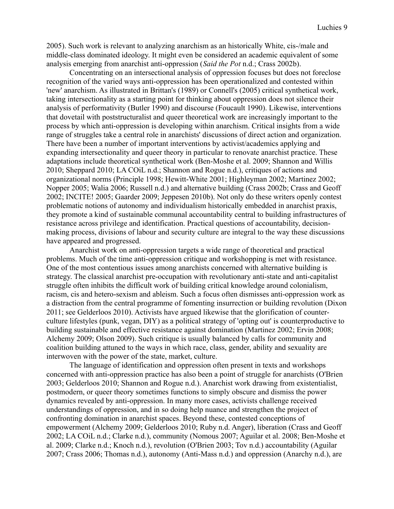2005). Such work is relevant to analyzing anarchism as an historically White, cis-/male and middle-class dominated ideology. It might even be considered an academic equivalent of some analysis emerging from anarchist anti-oppression (*Said the Pot* n.d.; Crass 2002b).

Concentrating on an intersectional analysis of oppression focuses but does not foreclose recognition of the varied ways anti-oppression has been operationalized and contested within 'new' anarchism. As illustrated in Brittan's (1989) or Connell's (2005) critical synthetical work, taking intersectionality as a starting point for thinking about oppression does not silence their analysis of performativity (Butler 1990) and discourse (Foucault 1990). Likewise, interventions that dovetail with poststructuralist and queer theoretical work are increasingly important to the process by which anti-oppression is developing within anarchism. Critical insights from a wide range of struggles take a central role in anarchists' discussions of direct action and organization. There have been a number of important interventions by activist/academics applying and expanding intersectionality and queer theory in particular to renovate anarchist practice. These adaptations include theoretical synthetical work (Ben-Moshe et al. 2009; Shannon and Willis 2010; Sheppard 2010; LA COiL n.d.; Shannon and Rogue n.d.), critiques of actions and organizational norms (Principle 1998; Hewitt-White 2001; Highleyman 2002; Martinez 2002; Nopper 2005; Walia 2006; Russell n.d.) and alternative building (Crass 2002b; Crass and Geoff 2002; INCITE! 2005; Gaarder 2009; Jeppesen 2010b). Not only do these writers openly contest problematic notions of autonomy and individualism historically embedded in anarchist praxis, they promote a kind of sustainable communal accountability central to building infrastructures of resistance across privilege and identification. Practical questions of accountability, decisionmaking process, divisions of labour and security culture are integral to the way these discussions have appeared and progressed.

Anarchist work on anti-oppression targets a wide range of theoretical and practical problems. Much of the time anti-oppression critique and workshopping is met with resistance. One of the most contentious issues among anarchists concerned with alternative building is strategy. The classical anarchist pre-occupation with revolutionary anti-state and anti-capitalist struggle often inhibits the difficult work of building critical knowledge around colonialism, racism, cis and hetero-sexism and ableism. Such a focus often dismisses anti-oppression work as a distraction from the central programme of fomenting insurrection or building revolution (Dixon 2011; see Gelderloos 2010). Activists have argued likewise that the glorification of counterculture lifestyles (punk, vegan, DIY) as a political strategy of 'opting out' is counterproductive to building sustainable and effective resistance against domination (Martinez 2002; Ervin 2008; Alchemy 2009; Olson 2009). Such critique is usually balanced by calls for community and coalition building attuned to the ways in which race, class, gender, ability and sexuality are interwoven with the power of the state, market, culture.

The language of identification and oppression often present in texts and workshops concerned with anti-oppression practice has also been a point of struggle for anarchists (O'Brien 2003; Gelderloos 2010; Shannon and Rogue n.d.). Anarchist work drawing from existentialist, postmodern, or queer theory sometimes functions to simply obscure and dismiss the power dynamics revealed by anti-oppression. In many more cases, activists challenge received understandings of oppression, and in so doing help nuance and strengthen the project of confronting domination in anarchist spaces. Beyond these, contested conceptions of empowerment (Alchemy 2009; Gelderloos 2010; Ruby n.d. Anger), liberation (Crass and Geoff 2002; LA COiL n.d.; Clarke n.d.), community (Nomous 2007; Aguilar et al. 2008; Ben-Moshe et al. 2009; Clarke n.d.; Knoch n.d.), revolution (O'Brien 2003; Tov n.d.) accountability (Aguilar 2007; Crass 2006; Thomas n.d.), autonomy (Anti-Mass n.d.) and oppression (Anarchy n.d.), are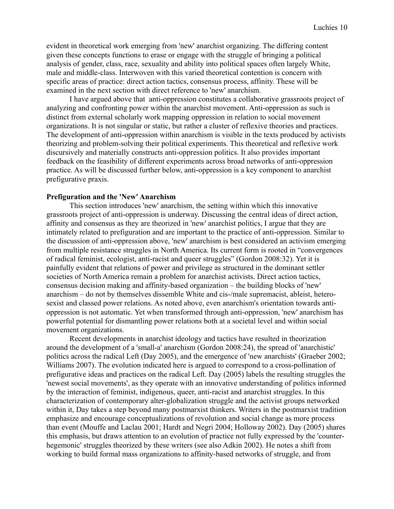evident in theoretical work emerging from 'new' anarchist organizing. The differing content given these concepts functions to erase or engage with the struggle of bringing a political analysis of gender, class, race, sexuality and ability into political spaces often largely White, male and middle-class. Interwoven with this varied theoretical contention is concern with specific areas of practice: direct action tactics, consensus process, affinity. These will be examined in the next section with direct reference to 'new' anarchism.

I have argued above that anti-oppression constitutes a collaborative grassroots project of analyzing and confronting power within the anarchist movement. Anti-oppression as such is distinct from external scholarly work mapping oppression in relation to social movement organizations. It is not singular or static, but rather a cluster of reflexive theories and practices. The development of anti-oppression within anarchism is visible in the texts produced by activists theorizing and problem-solving their political experiments. This theoretical and reflexive work discursively and materially constructs anti-oppression politics. It also provides important feedback on the feasibility of different experiments across broad networks of anti-oppression practice. As will be discussed further below, anti-oppression is a key component to anarchist prefigurative praxis.

#### **Prefiguration and the 'New' Anarchism**

This section introduces 'new' anarchism, the setting within which this innovative grassroots project of anti-oppression is underway. Discussing the central ideas of direct action, affinity and consensus as they are theorized in 'new' anarchist politics, I argue that they are intimately related to prefiguration and are important to the practice of anti-oppression. Similar to the discussion of anti-oppression above, 'new' anarchism is best considered an activism emerging from multiple resistance struggles in North America. Its current form is rooted in "convergences of radical feminist, ecologist, anti-racist and queer struggles" (Gordon 2008:32). Yet it is painfully evident that relations of power and privilege as structured in the dominant settler societies of North America remain a problem for anarchist activists. Direct action tactics, consensus decision making and affinity-based organization – the building blocks of 'new' anarchism – do not by themselves dissemble White and cis-/male supremacist, ableist, heterosexist and classed power relations. As noted above, even anarchism's orientation towards antioppression is not automatic. Yet when transformed through anti-oppression, 'new' anarchism has powerful potential for dismantling power relations both at a societal level and within social movement organizations.

Recent developments in anarchist ideology and tactics have resulted in theorization around the development of a 'small-a' anarchism (Gordon 2008:24), the spread of 'anarchistic' politics across the radical Left (Day 2005), and the emergence of 'new anarchists' (Graeber 2002; Williams 2007). The evolution indicated here is argued to correspond to a cross-pollination of prefigurative ideas and practices on the radical Left. Day (2005) labels the resulting struggles the 'newest social movements', as they operate with an innovative understanding of politics informed by the interaction of feminist, indigenous, queer, anti-racist and anarchist struggles. In this characterization of contemporary alter-globalization struggle and the activist groups networked within it, Day takes a step beyond many postmarxist thinkers. Writers in the postmarxist tradition emphasize and encourage conceptualizations of revolution and social change as more process than event (Mouffe and Laclau 2001; Hardt and Negri 2004; Holloway 2002). Day (2005) shares this emphasis, but draws attention to an evolution of practice not fully expressed by the 'counterhegemonic' struggles theorized by these writers (see also Adkin 2002). He notes a shift from working to build formal mass organizations to affinity-based networks of struggle, and from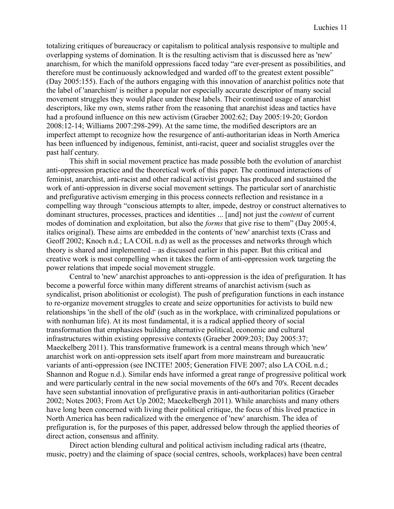totalizing critiques of bureaucracy or capitalism to political analysis responsive to multiple and overlapping systems of domination. It is the resulting activism that is discussed here as 'new' anarchism, for which the manifold oppressions faced today "are ever-present as possibilities, and therefore must be continuously acknowledged and warded off to the greatest extent possible" (Day 2005:155). Each of the authors engaging with this innovation of anarchist politics note that the label of 'anarchism' is neither a popular nor especially accurate descriptor of many social movement struggles they would place under these labels. Their continued usage of anarchist descriptors, like my own, stems rather from the reasoning that anarchist ideas and tactics have had a profound influence on this new activism (Graeber 2002:62; Day 2005:19-20; Gordon 2008:12-14; Williams 2007:298-299). At the same time, the modified descriptors are an imperfect attempt to recognize how the resurgence of anti-authoritarian ideas in North America has been influenced by indigenous, feminist, anti-racist, queer and socialist struggles over the past half century.

This shift in social movement practice has made possible both the evolution of anarchist anti-oppression practice and the theoretical work of this paper. The continued interactions of feminist, anarchist, anti-racist and other radical activist groups has produced and sustained the work of anti-oppression in diverse social movement settings. The particular sort of anarchistic and prefigurative activism emerging in this process connects reflection and resistance in a compelling way through "conscious attempts to alter, impede, destroy or construct alternatives to dominant structures, processes, practices and identities ... [and] not just the *content* of current modes of domination and exploitation, but also the *forms* that give rise to them" (Day 2005:4, italics original). These aims are embedded in the contents of 'new' anarchist texts (Crass and Geoff 2002; Knoch n.d.; LA COiL n.d) as well as the processes and networks through which theory is shared and implemented – as discussed earlier in this paper. But this critical and creative work is most compelling when it takes the form of anti-oppression work targeting the power relations that impede social movement struggle.

Central to 'new' anarchist approaches to anti-oppression is the idea of prefiguration. It has become a powerful force within many different streams of anarchist activism (such as syndicalist, prison abolitionist or ecologist). The push of prefiguration functions in each instance to re-organize movement struggles to create and seize opportunities for activists to build new relationships 'in the shell of the old' (such as in the workplace, with criminalized populations or with nonhuman life). At its most fundamental, it is a radical applied theory of social transformation that emphasizes building alternative political, economic and cultural infrastructures within existing oppressive contexts (Graeber 2009:203; Day 2005:37; Maeckelberg 2011). This transformative framework is a central means through which 'new' anarchist work on anti-oppression sets itself apart from more mainstream and bureaucratic variants of anti-oppression (see INCITE! 2005; Generation FIVE 2007; also LA COiL n.d.; Shannon and Rogue n.d.). Similar ends have informed a great range of progressive political work and were particularly central in the new social movements of the 60's and 70's. Recent decades have seen substantial innovation of prefigurative praxis in anti-authoritarian politics (Graeber 2002; Notes 2003; From Act Up 2002; Maeckelbergh 2011). While anarchists and many others have long been concerned with living their political critique, the focus of this lived practice in North America has been radicalized with the emergence of 'new' anarchism. The idea of prefiguration is, for the purposes of this paper, addressed below through the applied theories of direct action, consensus and affinity.

Direct action blending cultural and political activism including radical arts (theatre, music, poetry) and the claiming of space (social centres, schools, workplaces) have been central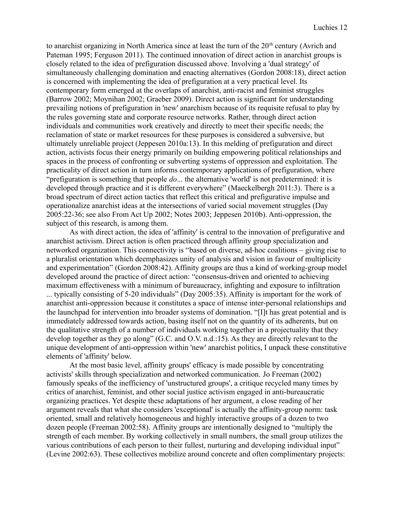to anarchist organizing in North America since at least the turn of the  $20<sup>th</sup>$  century (Avrich and Pateman 1995; Ferguson 2011). The continued innovation of direct action in anarchist groups is closely related to the idea of prefiguration discussed above. Involving a 'dual strategy' of simultaneously challenging domination and enacting alternatives (Gordon 2008:18), direct action is concerned with implementing the idea of prefiguration at a very practical level. Its contemporary form emerged at the overlaps of anarchist, anti-racist and feminist struggles (Barrow 2002; Moynihan 2002; Graeber 2009). Direct action is significant for understanding prevailing notions of prefiguration in 'new' anarchism because of its requisite refusal to play by the rules governing state and corporate resource networks. Rather, through direct action individuals and communities work creatively and directly to meet their specific needs; the reclamation of state or market resources for these purposes is considered a subversive, but ultimately unreliable project (Jeppesen 2010a:13). In this melding of prefiguration and direct action, activists focus their energy primarily on building empowering political relationships and spaces in the process of confronting or subverting systems of oppression and exploitation. The practicality of direct action in turn informs contemporary applications of prefiguration, where "prefiguration is something that people *do*... the alternative 'world' is not predetermined: it is developed through practice and it is different everywhere" (Maeckelbergh 2011:3). There is a broad spectrum of direct action tactics that reflect this critical and prefigurative impulse and operationalize anarchist ideas at the intersections of varied social movement struggles (Day 2005:22-36; see also From Act Up 2002; Notes 2003; Jeppesen 2010b). Anti-oppression, the subject of this research, is among them.

As with direct action, the idea of 'affinity' is central to the innovation of prefigurative and anarchist activism. Direct action is often practiced through affinity group specialization and networked organization. This connectivity is "based on diverse, ad-hoc coalitions – giving rise to a pluralist orientation which deemphasizes unity of analysis and vision in favour of multiplicity and experimentation" (Gordon 2008:42). Affinity groups are thus a kind of working-group model developed around the practice of direct action: "consensus-driven and oriented to achieving maximum effectiveness with a minimum of bureaucracy, infighting and exposure to infiltration ... typically consisting of 5-20 individuals" (Day 2005:35). Affinity is important for the work of anarchist anti-oppression because it constitutes a space of intense inter-personal relationships and the launchpad for intervention into broader systems of domination. "[I]t has great potential and is immediately addressed towards action, basing itself not on the quantity of its adherents, but on the qualitative strength of a number of individuals working together in a projectuality that they develop together as they go along" (G.C. and O.V. n.d.:15). As they are directly relevant to the unique development of anti-oppression within 'new' anarchist politics, I unpack these constitutive elements of 'affinity' below.

At the most basic level, affinity groups' efficacy is made possible by concentrating activists' skills through specialization and networked communication. Jo Freeman (2002) famously speaks of the inefficiency of 'unstructured groups', a critique recycled many times by critics of anarchist, feminist, and other social justice activism engaged in anti-bureaucratic organizing practices. Yet despite these adaptations of her argument, a close reading of her argument reveals that what she considers 'exceptional' is actually the affinity-group norm: task oriented, small and relatively homogeneous and highly interactive groups of a dozen to two dozen people (Freeman 2002:58). Affinity groups are intentionally designed to "multiply the strength of each member. By working collectively in small numbers, the small group utilizes the various contributions of each person to their fullest, nurturing and developing individual input" (Levine 2002:63). These collectives mobilize around concrete and often complimentary projects: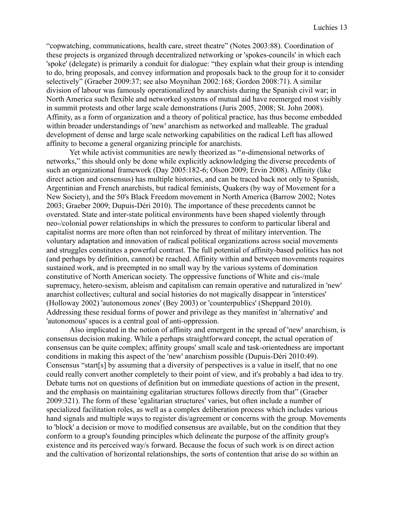"copwatching, communications, health care, street theatre" (Notes 2003:88). Coordination of these projects is organized through decentralized networking or 'spokes-councils' in which each 'spoke' (delegate) is primarily a conduit for dialogue: "they explain what their group is intending to do, bring proposals, and convey information and proposals back to the group for it to consider selectively" (Graeber 2009:37; see also Moynihan 2002:168; Gordon 2008:71). A similar division of labour was famously operationalized by anarchists during the Spanish civil war; in North America such flexible and networked systems of mutual aid have reemerged most visibly in summit protests and other large scale demonstrations (Juris 2005, 2008; St. John 2008). Affinity, as a form of organization and a theory of political practice, has thus become embedded within broader understandings of 'new' anarchism as networked and malleable. The gradual development of dense and large scale networking capabilities on the radical Left has allowed affinity to become a general organizing principle for anarchists.

Yet while activist communities are newly theorized as "*n*-dimensional networks of networks," this should only be done while explicitly acknowledging the diverse precedents of such an organizational framework (Day 2005:182-6; Olson 2009; Ervin 2008). Affinity (like direct action and consensus) has multiple histories, and can be traced back not only to Spanish, Argentinian and French anarchists, but radical feminists, Quakers (by way of Movement for a New Society), and the 50's Black Freedom movement in North America (Barrow 2002; Notes 2003; Graeber 2009; Dupuis-Déri 2010). The importance of these precedents cannot be overstated. State and inter-state political environments have been shaped violently through neo-/colonial power relationships in which the pressures to conform to particular liberal and capitalist norms are more often than not reinforced by threat of military intervention. The voluntary adaptation and innovation of radical political organizations across social movements and struggles constitutes a powerful contrast. The full potential of affinity-based politics has not (and perhaps by definition, cannot) be reached. Affinity within and between movements requires sustained work, and is preempted in no small way by the various systems of domination constitutive of North American society. The oppressive functions of White and cis-/male supremacy, hetero-sexism, ableism and capitalism can remain operative and naturalized in 'new' anarchist collectives; cultural and social histories do not magically disappear in 'interstices' (Holloway 2002) 'autonomous zones' (Bey 2003) or 'counterpublics' (Sheppard 2010). Addressing these residual forms of power and privilege as they manifest in 'alternative' and 'autonomous' spaces is a central goal of anti-oppression.

Also implicated in the notion of affinity and emergent in the spread of 'new' anarchism, is consensus decision making. While a perhaps straightforward concept, the actual operation of consensus can be quite complex; affinity groups' small scale and task-orientedness are important conditions in making this aspect of the 'new' anarchism possible (Dupuis-Déri 2010:49). Consensus "start[s] by assuming that a diversity of perspectives is a value in itself, that no one could really convert another completely to their point of view, and it's probably a bad idea to try. Debate turns not on questions of definition but on immediate questions of action in the present, and the emphasis on maintaining egalitarian structures follows directly from that" (Graeber 2009:321). The form of these 'egalitarian structures' varies, but often include a number of specialized facilitation roles, as well as a complex deliberation process which includes various hand signals and multiple ways to register dis/agreement or concerns with the group. Movements to 'block' a decision or move to modified consensus are available, but on the condition that they conform to a group's founding principles which delineate the purpose of the affinity group's existence and its perceived way/s forward. Because the focus of such work is on direct action and the cultivation of horizontal relationships, the sorts of contention that arise do so within an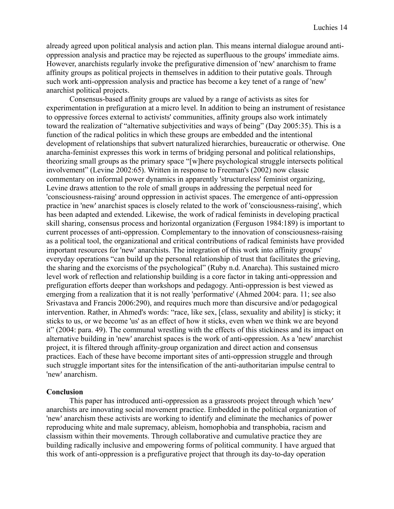already agreed upon political analysis and action plan. This means internal dialogue around antioppression analysis and practice may be rejected as superfluous to the groups' immediate aims. However, anarchists regularly invoke the prefigurative dimension of 'new' anarchism to frame affinity groups as political projects in themselves in addition to their putative goals. Through such work anti-oppression analysis and practice has become a key tenet of a range of 'new' anarchist political projects.

Consensus-based affinity groups are valued by a range of activists as sites for experimentation in prefiguration at a micro level. In addition to being an instrument of resistance to oppressive forces external to activists' communities, affinity groups also work intimately toward the realization of "alternative subjectivities and ways of being" (Day 2005:35). This is a function of the radical politics in which these groups are embedded and the intentional development of relationships that subvert naturalized hierarchies, bureaucratic or otherwise. One anarcha-feminist expresses this work in terms of bridging personal and political relationships, theorizing small groups as the primary space "[w]here psychological struggle intersects political involvement" (Levine 2002:65). Written in response to Freeman's (2002) now classic commentary on informal power dynamics in apparently 'structureless' feminist organizing, Levine draws attention to the role of small groups in addressing the perpetual need for 'consciousness-raising' around oppression in activist spaces. The emergence of anti-oppression practice in 'new' anarchist spaces is closely related to the work of 'consciousness-raising', which has been adapted and extended. Likewise, the work of radical feminists in developing practical skill sharing, consensus process and horizontal organization (Ferguson 1984:189) is important to current processes of anti-oppression. Complementary to the innovation of consciousness-raising as a political tool, the organizational and critical contributions of radical feminists have provided important resources for 'new' anarchists. The integration of this work into affinity groups' everyday operations "can build up the personal relationship of trust that facilitates the grieving, the sharing and the exorcisms of the psychological" (Ruby n.d. Anarcha). This sustained micro level work of reflection and relationship building is a core factor in taking anti-oppression and prefiguration efforts deeper than workshops and pedagogy. Anti-oppression is best viewed as emerging from a realization that it is not really 'performative' (Ahmed 2004: para. 11; see also Srivastava and Francis 2006:290), and requires much more than discursive and/or pedagogical intervention. Rather, in Ahmed's words: "race, like sex, [class, sexuality and ability] is sticky; it sticks to us, or we become 'us' as an effect of how it sticks, even when we think we are beyond it" (2004: para. 49). The communal wrestling with the effects of this stickiness and its impact on alternative building in 'new' anarchist spaces is the work of anti-oppression. As a 'new' anarchist project, it is filtered through affinity-group organization and direct action and consensus practices. Each of these have become important sites of anti-oppression struggle and through such struggle important sites for the intensification of the anti-authoritarian impulse central to 'new' anarchism.

## **Conclusion**

This paper has introduced anti-oppression as a grassroots project through which 'new' anarchists are innovating social movement practice. Embedded in the political organization of 'new' anarchism these activists are working to identify and eliminate the mechanics of power reproducing white and male supremacy, ableism, homophobia and transphobia, racism and classism within their movements. Through collaborative and cumulative practice they are building radically inclusive and empowering forms of political community. I have argued that this work of anti-oppression is a prefigurative project that through its day-to-day operation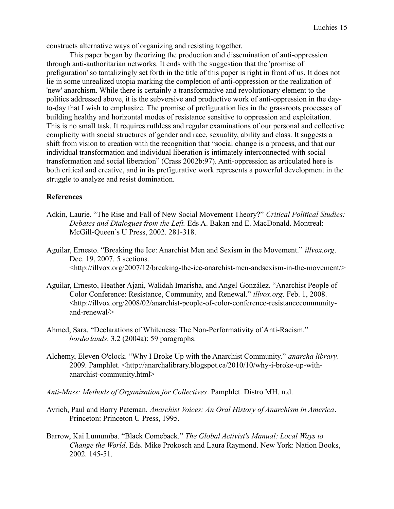constructs alternative ways of organizing and resisting together.

This paper began by theorizing the production and dissemination of anti-oppression through anti-authoritarian networks. It ends with the suggestion that the 'promise of prefiguration' so tantalizingly set forth in the title of this paper is right in front of us. It does not lie in some unrealized utopia marking the completion of anti-oppression or the realization of 'new' anarchism. While there is certainly a transformative and revolutionary element to the politics addressed above, it is the subversive and productive work of anti-oppression in the dayto-day that I wish to emphasize. The promise of prefiguration lies in the grassroots processes of building healthy and horizontal modes of resistance sensitive to oppression and exploitation. This is no small task. It requires ruthless and regular examinations of our personal and collective complicity with social structures of gender and race, sexuality, ability and class. It suggests a shift from vision to creation with the recognition that "social change is a process, and that our individual transformation and individual liberation is intimately interconnected with social transformation and social liberation" (Crass 2002b:97). Anti-oppression as articulated here is both critical and creative, and in its prefigurative work represents a powerful development in the struggle to analyze and resist domination.

## **References**

- Adkin, Laurie. "The Rise and Fall of New Social Movement Theory?" *Critical Political Studies: Debates and Dialogues from the Left.* Eds A. Bakan and E. MacDonald. Montreal: McGill-Queen's U Press, 2002. 281-318.
- Aguilar, Ernesto. "Breaking the Ice: Anarchist Men and Sexism in the Movement." *illvox.org*. Dec. 19, 2007. 5 sections. <http://illvox.org/2007/12/breaking-the-ice-anarchist-men-andsexism-in-the-movement/>
- Aguilar, Ernesto, Heather Ajani, Walidah Imarisha, and Angel González. "Anarchist People of Color Conference: Resistance, Community, and Renewal." *illvox.org*. Feb. 1, 2008. <http://illvox.org/2008/02/anarchist-people-of-color-conference-resistancecommunityand-renewal/>
- Ahmed, Sara. "Declarations of Whiteness: The Non-Performativity of Anti-Racism." *borderlands*. 3.2 (2004a): 59 paragraphs.
- Alchemy, Eleven O'clock. "Why I Broke Up with the Anarchist Community." *anarcha library*. 2009. Pamphlet. <http://anarchalibrary.blogspot.ca/2010/10/why-i-broke-up-withanarchist-community.html>
- *Anti-Mass: Methods of Organization for Collectives*. Pamphlet. Distro MH. n.d.
- Avrich, Paul and Barry Pateman. *Anarchist Voices: An Oral History of Anarchism in America*. Princeton: Princeton U Press, 1995.
- Barrow, Kai Lumumba. "Black Comeback." *The Global Activist's Manual: Local Ways to Change the World*. Eds. Mike Prokosch and Laura Raymond. New York: Nation Books, 2002. 145-51.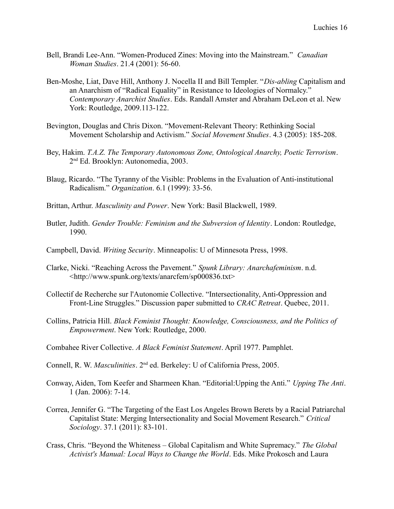- Bell, Brandi Lee-Ann. "Women-Produced Zines: Moving into the Mainstream." *Canadian Woman Studies*. 21.4 (2001): 56-60.
- Ben-Moshe, Liat, Dave Hill, Anthony J. Nocella II and Bill Templer. "*Dis-abling* Capitalism and an Anarchism of "Radical Equality" in Resistance to Ideologies of Normalcy." *Contemporary Anarchist Studies*. Eds. Randall Amster and Abraham DeLeon et al. New York: Routledge, 2009.113-122.
- Bevington, Douglas and Chris Dixon. "Movement-Relevant Theory: Rethinking Social Movement Scholarship and Activism." *Social Movement Studies*. 4.3 (2005): 185-208.
- Bey, Hakim. *T.A.Z. The Temporary Autonomous Zone, Ontological Anarchy, Poetic Terrorism*. 2 nd Ed. Brooklyn: Autonomedia, 2003.
- Blaug, Ricardo. "The Tyranny of the Visible: Problems in the Evaluation of Anti-institutional Radicalism." *Organization*. 6.1 (1999): 33-56.
- Brittan, Arthur. *Masculinity and Power*. New York: Basil Blackwell, 1989.
- Butler, Judith. *Gender Trouble: Feminism and the Subversion of Identity*. London: Routledge, 1990.
- Campbell, David. *Writing Security*. Minneapolis: U of Minnesota Press, 1998.
- Clarke, Nicki. "Reaching Across the Pavement." *Spunk Library: Anarchafeminism*. n.d. <http://www.spunk.org/texts/anarcfem/sp000836.txt>
- Collectif de Recherche sur l'Autonomie Collective. "Intersectionality, Anti-Oppression and Front-Line Struggles." Discussion paper submitted to *CRAC Retreat*. Quebec, 2011.
- Collins, Patricia Hill. *Black Feminist Thought: Knowledge, Consciousness, and the Politics of Empowerment*. New York: Routledge, 2000.
- Combahee River Collective. *A Black Feminist Statement*. April 1977. Pamphlet.
- Connell, R. W. *Masculinities*. 2nd ed. Berkeley: U of California Press, 2005.
- Conway, Aiden, Tom Keefer and Sharmeen Khan. "Editorial:Upping the Anti." *Upping The Anti*. 1 (Jan. 2006): 7-14.
- Correa, Jennifer G. "The Targeting of the East Los Angeles Brown Berets by a Racial Patriarchal Capitalist State: Merging Intersectionality and Social Movement Research." *Critical Sociology*. 37.1 (2011): 83-101.
- Crass, Chris. "Beyond the Whiteness Global Capitalism and White Supremacy." *The Global Activist's Manual: Local Ways to Change the World*. Eds. Mike Prokosch and Laura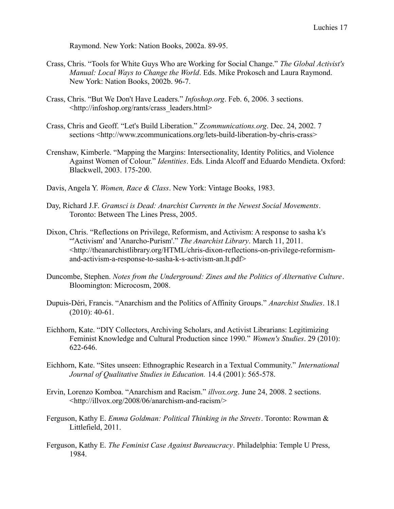Raymond. New York: Nation Books, 2002a. 89-95.

- Crass, Chris. "Tools for White Guys Who are Working for Social Change." *The Global Activist's Manual: Local Ways to Change the World*. Eds. Mike Prokosch and Laura Raymond. New York: Nation Books, 2002b. 96-7.
- Crass, Chris. "But We Don't Have Leaders." *Infoshop.org*. Feb. 6, 2006. 3 sections. <http://infoshop.org/rants/crass\_leaders.html>
- Crass, Chris and Geoff. "Let's Build Liberation." *Zcommunications.org*. Dec. 24, 2002. 7 sections <http://www.zcommunications.org/lets-build-liberation-by-chris-crass>
- Crenshaw, Kimberle. "Mapping the Margins: Intersectionality, Identity Politics, and Violence Against Women of Colour." *Identities*. Eds. Linda Alcoff and Eduardo Mendieta. Oxford: Blackwell, 2003. 175-200.
- Davis, Angela Y. *Women, Race & Class*. New York: Vintage Books, 1983.
- Day, Richard J.F. *Gramsci is Dead: Anarchist Currents in the Newest Social Movements*. Toronto: Between The Lines Press, 2005.
- Dixon, Chris. "Reflections on Privilege, Reformism, and Activism: A response to sasha k's "'Activism' and 'Anarcho-Purism'." *The Anarchist Library*. March 11, 2011. <http://theanarchistlibrary.org/HTML/chris-dixon-reflections-on-privilege-reformismand-activism-a-response-to-sasha-k-s-activism-an.lt.pdf>
- Duncombe, Stephen. *Notes from the Underground: Zines and the Politics of Alternative Culture*. Bloomington: Microcosm, 2008.
- Dupuis-Déri, Francis. "Anarchism and the Politics of Affinity Groups." *Anarchist Studies*. 18.1 (2010): 40-61.
- Eichhorn, Kate. "DIY Collectors, Archiving Scholars, and Activist Librarians: Legitimizing Feminist Knowledge and Cultural Production since 1990." *Women's Studies*. 29 (2010): 622-646.
- Eichhorn, Kate. "Sites unseen: Ethnographic Research in a Textual Community." *International Journal of Qualitative Studies in Education.* 14.4 (2001): 565-578.
- Ervin, Lorenzo Komboa. "Anarchism and Racism." *illvox.org*. June 24, 2008. 2 sections. <http://illvox.org/2008/06/anarchism-and-racism/>
- Ferguson, Kathy E. *Emma Goldman: Political Thinking in the Streets*. Toronto: Rowman & Littlefield, 2011.
- Ferguson, Kathy E. *The Feminist Case Against Bureaucracy*. Philadelphia: Temple U Press, 1984.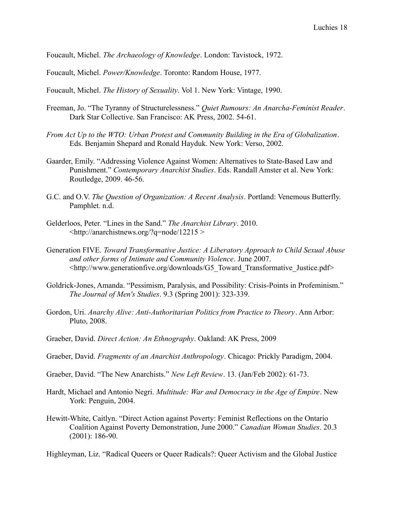Foucault, Michel. *The Archaeology of Knowledge*. London: Tavistock, 1972.

Foucault, Michel. *Power/Knowledge*. Toronto: Random House, 1977.

Foucault, Michel. *The History of Sexuality*. Vol 1. New York: Vintage, 1990.

- Freeman, Jo. "The Tyranny of Structurelessness." *Quiet Rumours: An Anarcha-Feminist Reader*. Dark Star Collective. San Francisco: AK Press, 2002. 54-61.
- *From Act Up to the WTO: Urban Protest and Community Building in the Era of Globalization*. Eds. Benjamin Shepard and Ronald Hayduk. New York: Verso, 2002.
- Gaarder, Emily. "Addressing Violence Against Women: Alternatives to State-Based Law and Punishment." *Contemporary Anarchist Studies*. Eds. Randall Amster et al. New York: Routledge, 2009. 46-56.
- G.C. and O.V. *The Question of Organization: A Recent Analysis*. Portland: Venemous Butterfly. Pamphlet. n.d.
- Gelderloos, Peter. "Lines in the Sand." *The Anarchist Library*. 2010.  $\langle$ http://anarchistnews.org/?q=node/12215 >
- Generation FIVE. *Toward Transformative Justice: A Liberatory Approach to Child Sexual Abuse and other forms of Intimate and Community Violence*. June 2007. <http://www.generationfive.org/downloads/G5\_Toward\_Transformative\_Justice.pdf>
- Goldrick-Jones, Amanda. "Pessimism, Paralysis, and Possibility: Crisis-Points in Profeminism." *The Journal of Men's Studies*. 9.3 (Spring 2001): 323-339.
- Gordon, Uri. *Anarchy Alive: Anti-Authoritarian Politics from Practice to Theory*. Ann Arbor: Pluto, 2008.
- Graeber, David. *Direct Action: An Ethnography*. Oakland: AK Press, 2009
- Graeber, David. *Fragments of an Anarchist Anthropology*. Chicago: Prickly Paradigm, 2004.
- Graeber, David. "The New Anarchists." *New Left Review*. 13. (Jan/Feb 2002): 61-73.
- Hardt, Michael and Antonio Negri. *Multitude: War and Democracy in the Age of Empire*. New York: Penguin, 2004.
- Hewitt-White, Caitlyn. "Direct Action against Poverty: Feminist Reflections on the Ontario Coalition Against Poverty Demonstration, June 2000." *Canadian Woman Studies*. 20.3 (2001): 186-90.

Highleyman, Liz. "Radical Queers or Queer Radicals?: Queer Activism and the Global Justice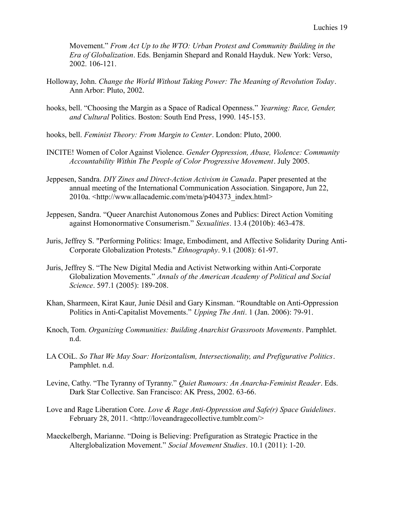Movement." *From Act Up to the WTO: Urban Protest and Community Building in the Era of Globalization*. Eds. Benjamin Shepard and Ronald Hayduk. New York: Verso, 2002. 106-121.

- Holloway, John. *Change the World Without Taking Power: The Meaning of Revolution Today*. Ann Arbor: Pluto, 2002.
- hooks, bell. "Choosing the Margin as a Space of Radical Openness." *Yearning: Race, Gender, and Cultural* Politics. Boston: South End Press, 1990. 145-153.
- hooks, bell. *Feminist Theory: From Margin to Center*. London: Pluto, 2000.
- INCITE! Women of Color Against Violence. *Gender Oppression, Abuse, Violence: Community Accountability Within The People of Color Progressive Movement*. July 2005.
- Jeppesen, Sandra. *DIY Zines and Direct-Action Activism in Canada*. Paper presented at the annual meeting of the International Communication Association. Singapore, Jun 22, 2010a. <http://www.allacademic.com/meta/p404373\_index.html>
- Jeppesen, Sandra. "Queer Anarchist Autonomous Zones and Publics: Direct Action Vomiting against Homonormative Consumerism." *Sexualities*. 13.4 (2010b): 463-478.
- Juris, Jeffrey S. "Performing Politics: Image, Embodiment, and Affective Solidarity During Anti-Corporate Globalization Protests." *Ethnography*. 9.1 (2008): 61-97.
- Juris, Jeffrey S. "The New Digital Media and Activist Networking within Anti-Corporate Globalization Movements." *Annals of the American Academy of Political and Social Science*. 597.1 (2005): 189-208.
- Khan, Sharmeen, Kirat Kaur, Junie Désil and Gary Kinsman. "Roundtable on Anti-Oppression Politics in Anti-Capitalist Movements." *Upping The Anti*. 1 (Jan. 2006): 79-91.
- Knoch, Tom. *Organizing Communities: Building Anarchist Grassroots Movements*. Pamphlet. n.d.
- LA COiL. *So That We May Soar: Horizontalism, Intersectionality, and Prefigurative Politics*. Pamphlet. n.d.
- Levine, Cathy. "The Tyranny of Tyranny." *Quiet Rumours: An Anarcha-Feminist Reader*. Eds. Dark Star Collective. San Francisco: AK Press, 2002. 63-66.
- Love and Rage Liberation Core. *Love & Rage Anti-Oppression and Safe(r) Space Guidelines*. February 28, 2011. <http://loveandragecollective.tumblr.com/>
- Maeckelbergh, Marianne. "Doing is Believing: Prefiguration as Strategic Practice in the Alterglobalization Movement." *Social Movement Studies*. 10.1 (2011): 1-20.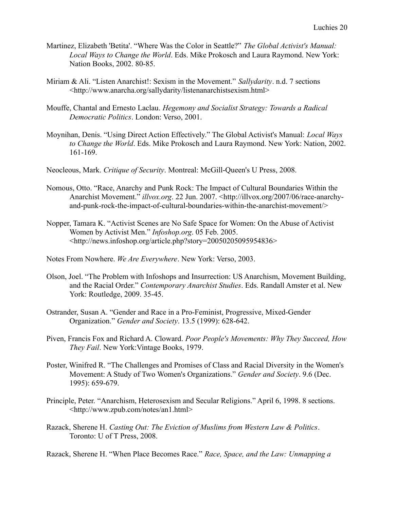- Martinez, Elizabeth 'Betita'. "Where Was the Color in Seattle?" *The Global Activist's Manual: Local Ways to Change the World*. Eds. Mike Prokosch and Laura Raymond. New York: Nation Books, 2002. 80-85.
- Miriam & Ali. "Listen Anarchist!: Sexism in the Movement." *Sallydarity*. n.d. 7 sections <http://www.anarcha.org/sallydarity/listenanarchistsexism.html>
- Mouffe, Chantal and Ernesto Laclau. *Hegemony and Socialist Strategy: Towards a Radical Democratic Politics*. London: Verso, 2001.
- Moynihan, Denis. "Using Direct Action Effectively." The Global Activist's Manual: *Local Ways to Change the World*. Eds. Mike Prokosch and Laura Raymond. New York: Nation, 2002. 161-169.
- Neocleous, Mark. *Critique of Security*. Montreal: McGill-Queen's U Press, 2008.
- Nomous, Otto. "Race, Anarchy and Punk Rock: The Impact of Cultural Boundaries Within the Anarchist Movement." *illvox.org*. 22 Jun. 2007. <http://illvox.org/2007/06/race-anarchyand-punk-rock-the-impact-of-cultural-boundaries-within-the-anarchist-movement/>
- Nopper, Tamara K. "Activist Scenes are No Safe Space for Women: On the Abuse of Activist Women by Activist Men." *Infoshop.org*. 05 Feb. 2005. <http://news.infoshop.org/article.php?story=20050205095954836>
- Notes From Nowhere. *We Are Everywhere*. New York: Verso, 2003.
- Olson, Joel. "The Problem with Infoshops and Insurrection: US Anarchism, Movement Building, and the Racial Order." *Contemporary Anarchist Studies*. Eds. Randall Amster et al. New York: Routledge, 2009. 35-45.
- Ostrander, Susan A. "Gender and Race in a Pro-Feminist, Progressive, Mixed-Gender Organization." *Gender and Society*. 13.5 (1999): 628-642.
- Piven, Francis Fox and Richard A. Cloward. *Poor People's Movements: Why They Succeed, How They Fail*. New York:Vintage Books, 1979.
- Poster, Winifred R. "The Challenges and Promises of Class and Racial Diversity in the Women's Movement: A Study of Two Women's Organizations." *Gender and Society*. 9.6 (Dec. 1995): 659-679.
- Principle, Peter. "Anarchism, Heterosexism and Secular Religions." April 6, 1998. 8 sections. <http://www.zpub.com/notes/an1.html>
- Razack, Sherene H. *Casting Out: The Eviction of Muslims from Western Law & Politics*. Toronto: U of T Press, 2008.

Razack, Sherene H. "When Place Becomes Race." *Race, Space, and the Law: Unmapping a*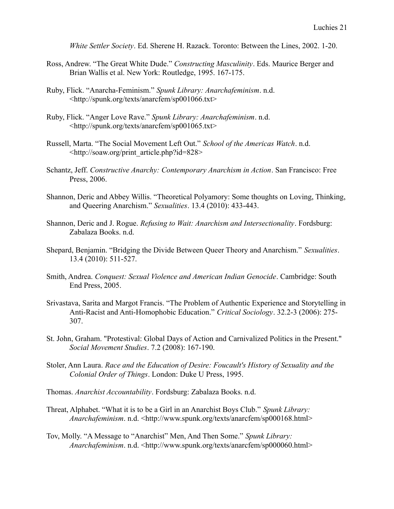*White Settler Society*. Ed. Sherene H. Razack. Toronto: Between the Lines, 2002. 1-20.

- Ross, Andrew. "The Great White Dude." *Constructing Masculinity*. Eds. Maurice Berger and Brian Wallis et al. New York: Routledge, 1995. 167-175.
- Ruby, Flick. "Anarcha-Feminism." *Spunk Library: Anarchafeminism*. n.d. <http://spunk.org/texts/anarcfem/sp001066.txt>
- Ruby, Flick. "Anger Love Rave." *Spunk Library: Anarchafeminism*. n.d. <http://spunk.org/texts/anarcfem/sp001065.txt>
- Russell, Marta. "The Social Movement Left Out." *School of the Americas Watch*. n.d. <http://soaw.org/print\_article.php?id=828>
- Schantz, Jeff. *Constructive Anarchy: Contemporary Anarchism in Action*. San Francisco: Free Press, 2006.
- Shannon, Deric and Abbey Willis. "Theoretical Polyamory: Some thoughts on Loving, Thinking, and Queering Anarchism." *Sexualities*. 13.4 (2010): 433-443.
- Shannon, Deric and J. Rogue. *Refusing to Wait: Anarchism and Intersectionality*. Fordsburg: Zabalaza Books. n.d.
- Shepard, Benjamin. "Bridging the Divide Between Queer Theory and Anarchism." *Sexualities*. 13.4 (2010): 511-527.
- Smith, Andrea. *Conquest: Sexual Violence and American Indian Genocide*. Cambridge: South End Press, 2005.
- Srivastava, Sarita and Margot Francis. "The Problem of Authentic Experience and Storytelling in Anti-Racist and Anti-Homophobic Education." *Critical Sociology*. 32.2-3 (2006): 275- 307.
- St. John, Graham. "Protestival: Global Days of Action and Carnivalized Politics in the Present." *Social Movement Studies*. 7.2 (2008): 167-190.
- Stoler, Ann Laura. *Race and the Education of Desire: Foucault's History of Sexuality and the Colonial Order of Things*. London: Duke U Press, 1995.
- Thomas. *Anarchist Accountability*. Fordsburg: Zabalaza Books. n.d.
- Threat, Alphabet. "What it is to be a Girl in an Anarchist Boys Club." *Spunk Library: Anarchafeminism*. n.d. <http://www.spunk.org/texts/anarcfem/sp000168.html>
- Tov, Molly. "A Message to "Anarchist" Men, And Then Some." *Spunk Library: Anarchafeminism*. n.d. <http://www.spunk.org/texts/anarcfem/sp000060.html>